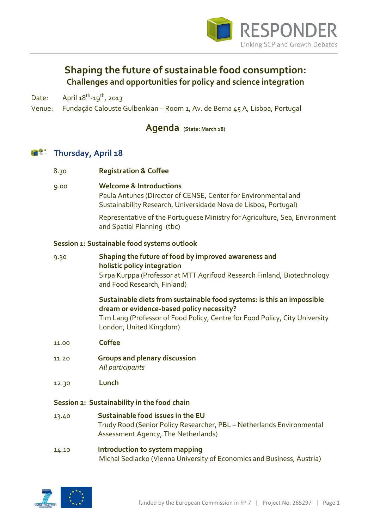

## **Shaping the future of sustainable food consumption: Challenges and opportunities for policy and science integration**

Date: April  $18^{th}$ -19<sup>th</sup>, 2013

Venue: Fundação Calouste Gulbenkian – Room 1, Av. de Berna 45 A, Lisboa, Portugal

## **Agenda (State: March 18)**

## **Thursday, April 18** 宿然

| 8.30                                        | <b>Registration &amp; Coffee</b>                                                                                                                                                                                              |  |
|---------------------------------------------|-------------------------------------------------------------------------------------------------------------------------------------------------------------------------------------------------------------------------------|--|
| 9.00                                        | <b>Welcome &amp; Introductions</b><br>Paula Antunes (Director of CENSE, Center for Environmental and<br>Sustainability Research, Universidade Nova de Lisboa, Portugal)                                                       |  |
|                                             | Representative of the Portuguese Ministry for Agriculture, Sea, Environment<br>and Spatial Planning (tbc)                                                                                                                     |  |
| Session 1: Sustainable food systems outlook |                                                                                                                                                                                                                               |  |
| 9.30                                        | Shaping the future of food by improved awareness and<br>holistic policy integration<br>Sirpa Kurppa (Professor at MTT Agrifood Research Finland, Biotechnology<br>and Food Research, Finland)                                 |  |
|                                             | Sustainable diets from sustainable food systems: is this an impossible<br>dream or evidence-based policy necessity?<br>Tim Lang (Professor of Food Policy, Centre for Food Policy, City University<br>London, United Kingdom) |  |
| 11.00                                       | <b>Coffee</b>                                                                                                                                                                                                                 |  |
| 11.20                                       | <b>Groups and plenary discussion</b><br>All participants                                                                                                                                                                      |  |
| 12.30                                       | Lunch                                                                                                                                                                                                                         |  |
| Session 2: Sustainability in the food chain |                                                                                                                                                                                                                               |  |
| 13.40                                       | Sustainable food issues in the EU<br>Trudy Rood (Senior Policy Researcher, PBL - Netherlands Environmental<br>Assessment Agency, The Netherlands)                                                                             |  |
|                                             |                                                                                                                                                                                                                               |  |

14.10 **Introduction to system mapping**  Michal Sedlacko (Vienna University of Economics and Business, Austria)